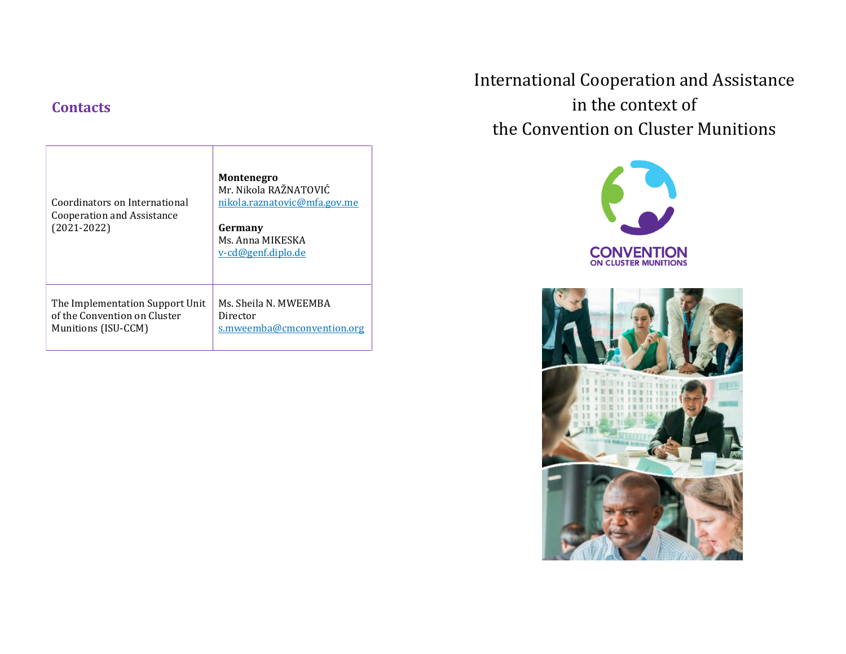# **Contacts**

| Coordinators on International<br>Cooperation and Assistance<br>$(2021 - 2022)$ | <b>Montenegro</b><br>Mr. Nikola RAŽNATOVIĆ<br>nikola.raznatovic@mfa.gov.me<br>Germany<br>Ms. Anna MIKESKA<br><u>v-cd@genf.diplo.de</u> |
|--------------------------------------------------------------------------------|----------------------------------------------------------------------------------------------------------------------------------------|
| The Implementation Support Unit                                                | Ms. Sheila N. MWEEMBA                                                                                                                  |
| of the Convention on Cluster                                                   | Director                                                                                                                               |
| Munitions (ISU-CCM)                                                            | s.mweemba@cmconvention.org                                                                                                             |

International Cooperation and Assistance in the context of the Convention on Cluster Munitions